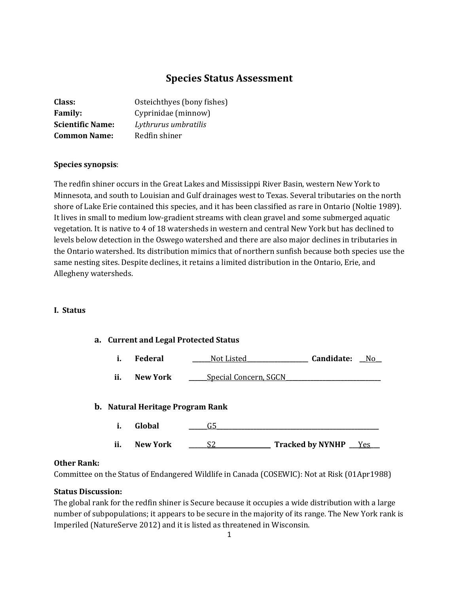# **Species Status Assessment**

| Class:                  | Osteichthyes (bony fishes) |
|-------------------------|----------------------------|
| <b>Family:</b>          | Cyprinidae (minnow)        |
| <b>Scientific Name:</b> | Lythrurus umbratilis       |
| <b>Common Name:</b>     | Redfin shiner              |

# **Species synopsis**:

The redfin shiner occurs in the Great Lakes and Mississippi River Basin, western New York to Minnesota, and south to Louisian and Gulf drainages west to Texas. Several tributaries on the north shore of Lake Erie contained this species, and it has been classified as rare in Ontario (Noltie 1989). It lives in small to medium low-gradient streams with clean gravel and some submerged aquatic vegetation. It is native to 4 of 18 watersheds in western and central New York but has declined to levels below detection in the Oswego watershed and there are also major declines in tributaries in the Ontario watershed. Its distribution mimics that of northern sunfish because both species use the same nesting sites. Despite declines, it retains a limited distribution in the Ontario, Erie, and Allegheny watersheds.

### **I. Status**

### **a. Current and Legal Protected Status**

- **i. Federal \_\_\_\_\_\_**Not Listed**\_\_\_\_\_\_\_\_\_\_\_\_\_\_\_\_\_\_\_\_ Candidate: \_\_**No**\_\_**
- ii. **New York** <u>\_\_\_\_\_\_Special Concern, SGCN</u>

### **b. Natural Heritage Program Rank**

**i. Global \_\_\_\_\_\_**G5**\_\_\_\_\_\_\_\_\_\_\_\_\_\_\_\_\_\_\_\_\_\_\_\_\_\_\_\_\_\_\_\_\_\_\_\_\_\_\_\_\_\_\_\_\_\_\_\_\_\_\_\_\_ ii. New York \_\_\_\_\_\_**S2\_\_**\_\_\_\_\_\_\_\_\_\_\_\_\_ Tracked by NYNHP \_\_\_**Yes**\_\_\_**

#### **Other Rank:**

Committee on the Status of Endangered Wildlife in Canada (COSEWIC): Not at Risk (01Apr1988)

#### **Status Discussion:**

The global rank for the redfin shiner is Secure because it occupies a wide distribution with a large number of subpopulations; it appears to be secure in the majority of its range. The New York rank is Imperiled (NatureServe 2012) and it is listed as threatened in Wisconsin.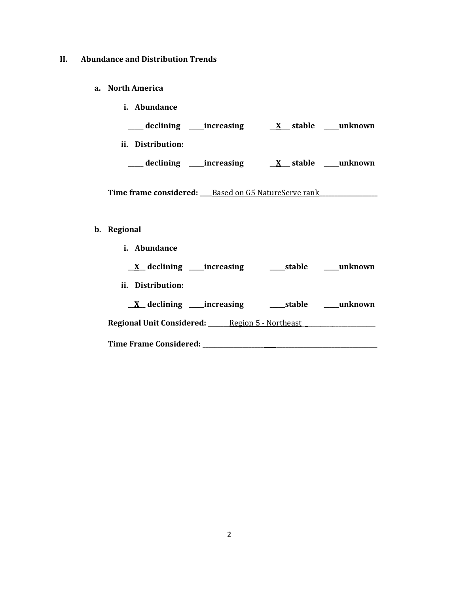# **II. Abundance and Distribution Trends**

**a. North America**

| <i>i.</i> Abundance      |                        |
|--------------------------|------------------------|
| declining<br>_increasing | stable<br>unknown<br>X |
| Distribution:<br>Ħ.      |                        |
| declining<br>increasing  | unknown<br>stable      |

Time frame considered: **\_\_\_\_Based on G5 NatureServe rank**\_\_\_\_\_\_\_\_\_\_\_\_\_\_\_\_\_\_\_\_\_\_\_\_\_

# **b. Regional**

| <i>i.</i> Abundance                                                         |                             |
|-----------------------------------------------------------------------------|-----------------------------|
| $\underline{X}$ declining _____increasing                                   | stable unknown              |
| ii. Distribution:                                                           |                             |
| $\underline{X}$ declining _____increasing                                   | ______stable _______unknown |
| Regional Unit Considered: ______ Region 5 - Northeast _____________________ |                             |
| Time Frame Considered: Time Frame Considered:                               |                             |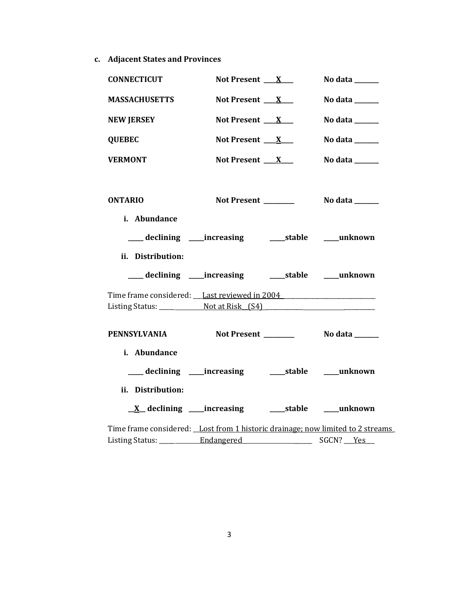**c. Adjacent States and Provinces**

| <b>CONNECTICUT</b>                                                             | Not Present $X_{-}$                                        | No data $\_\_\_\_\_\_\_\_\_\_\_\_\_\_\_\_$ |
|--------------------------------------------------------------------------------|------------------------------------------------------------|--------------------------------------------|
| <b>MASSACHUSETTS</b>                                                           | Not Present $X_{-}$                                        | No data $\_\_\_\_\_\_\_\_\_\_\_\$          |
| <b>NEW JERSEY</b>                                                              | Not Present $X_{-}$                                        | No data ______                             |
| <b>QUEBEC</b>                                                                  | Not Present $X_{-}$                                        | No data ______                             |
| <b>VERMONT</b>                                                                 | Not Present $X_{-}$                                        | No data $\_\_\_\_\_\_\_\_\_\_\_\_\$        |
| <b>ONTARIO</b><br>i. Abundance                                                 | Not Present _______                                        | No data ______                             |
| ii. Distribution:                                                              | ___ declining ____ increasing _____ stable ____ unknown    |                                            |
|                                                                                | ___ declining ____ increasing _____ stable ____ unknown    |                                            |
| Time frame considered: Last reviewed in 2004                                   |                                                            |                                            |
| <b>PENNSYLVANIA</b>                                                            |                                                            |                                            |
| i. Abundance<br>ii. Distribution:                                              | ___ declining ____ increasing ______ stable ____ unknown   |                                            |
|                                                                                | <u>X</u> declining ____increasing ______stable ____unknown |                                            |
| Time frame considered: Lost from 1 historic drainage; now limited to 2 streams |                                                            |                                            |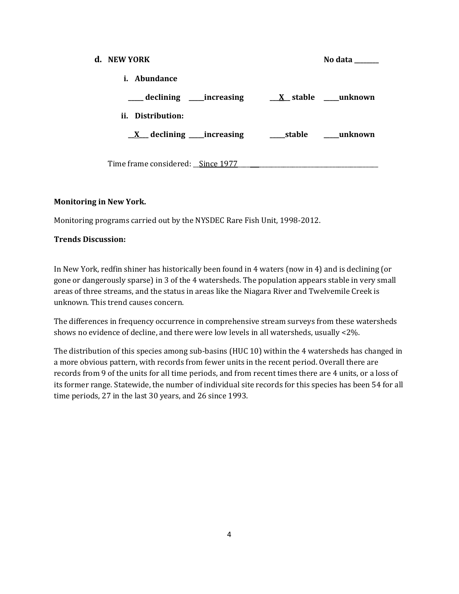| d. NEW YORK                               | No data           |
|-------------------------------------------|-------------------|
| i. Abundance                              |                   |
| ____ declining _____increasing            |                   |
| ii. Distribution:                         |                   |
| $\underline{X}$ declining _____increasing | stable<br>unknown |
|                                           |                   |
| Time frame considered: Since 1977         |                   |

# **Monitoring in New York.**

Monitoring programs carried out by the NYSDEC Rare Fish Unit, 1998-2012.

# **Trends Discussion:**

In New York, redfin shiner has historically been found in 4 waters (now in 4) and is declining (or gone or dangerously sparse) in 3 of the 4 watersheds. The population appears stable in very small areas of three streams, and the status in areas like the Niagara River and Twelvemile Creek is unknown. This trend causes concern.

The differences in frequency occurrence in comprehensive stream surveys from these watersheds shows no evidence of decline, and there were low levels in all watersheds, usually <2%.

The distribution of this species among sub-basins (HUC 10) within the 4 watersheds has changed in a more obvious pattern, with records from fewer units in the recent period. Overall there are records from 9 of the units for all time periods, and from recent times there are 4 units, or a loss of its former range. Statewide, the number of individual site records for this species has been 54 for all time periods, 27 in the last 30 years, and 26 since 1993.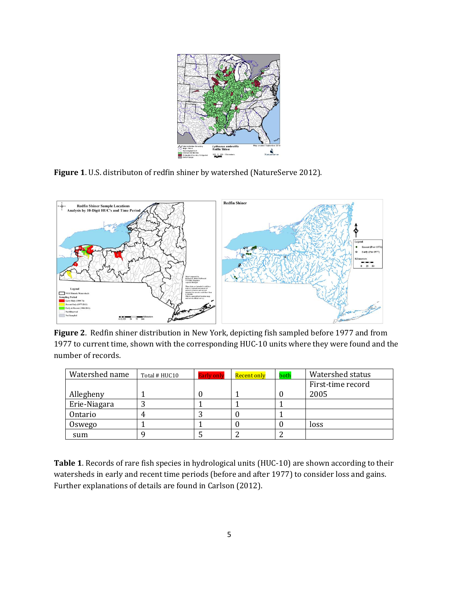

**Figure 1**. U.S. distributon of redfin shiner by watershed (NatureServe 2012).



**Figure 2**. Redfin shiner distribution in New York, depicting fish sampled before 1977 and from 1977 to current time, shown with the corresponding HUC-10 units where they were found and the number of records.

| Watershed name | Total # HUC10 | <b>Early only</b> | Recent only | both | Watershed status  |
|----------------|---------------|-------------------|-------------|------|-------------------|
|                |               |                   |             |      | First-time record |
| Allegheny      |               |                   |             |      | 2005              |
| Erie-Niagara   |               |                   |             |      |                   |
| Ontario        |               |                   |             |      |                   |
| Oswego         |               |                   |             |      | loss              |
| sum            |               |                   |             |      |                   |

**Table 1**. Records of rare fish species in hydrological units (HUC-10) are shown according to their watersheds in early and recent time periods (before and after 1977) to consider loss and gains. Further explanations of details are found in Carlson (2012).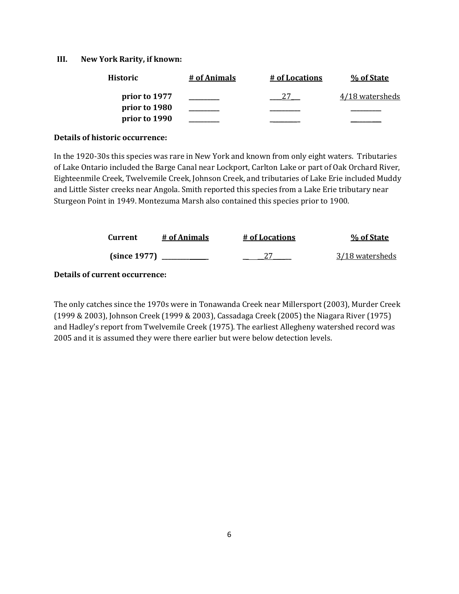#### **III. New York Rarity, if known:**

| <b>Historic</b> | # of Animals | # of Locations | % of State      |
|-----------------|--------------|----------------|-----------------|
| prior to 1977   |              |                | 4/18 watersheds |
| prior to 1980   |              |                |                 |
| prior to 1990   |              |                |                 |

#### **Details of historic occurrence:**

In the 1920-30s this species was rare in New York and known from only eight waters. Tributaries of Lake Ontario included the Barge Canal near Lockport, Carlton Lake or part of Oak Orchard River, Eighteenmile Creek, Twelvemile Creek, Johnson Creek, and tributaries of Lake Erie included Muddy and Little Sister creeks near Angola. Smith reported this species from a Lake Erie tributary near Sturgeon Point in 1949. Montezuma Marsh also contained this species prior to 1900.

| Current      | # of Animals | # of Locations | % of State      |
|--------------|--------------|----------------|-----------------|
| (since 1977) |              |                | 3/18 watersheds |

# **Details of current occurrence:**

The only catches since the 1970s were in Tonawanda Creek near Millersport (2003), Murder Creek (1999 & 2003), Johnson Creek (1999 & 2003), Cassadaga Creek (2005) the Niagara River (1975) and Hadley's report from Twelvemile Creek (1975). The earliest Allegheny watershed record was 2005 and it is assumed they were there earlier but were below detection levels.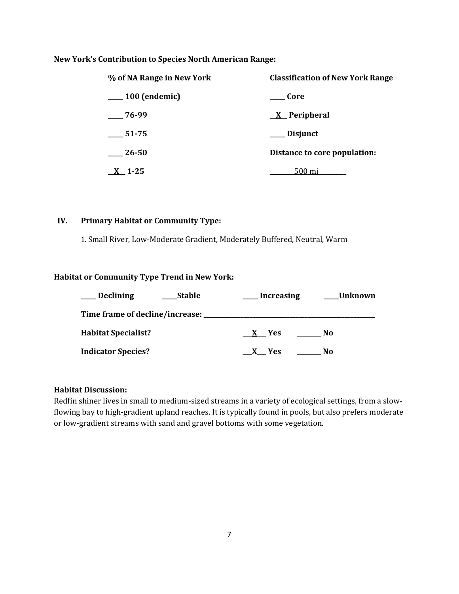# **New York's Contribution to Species North American Range:**

| % of NA Range in New York | <b>Classification of New York Range</b> |
|---------------------------|-----------------------------------------|
| 100 (endemic)             | Core                                    |
| $-76-99$                  | <u>X</u> Peripheral                     |
| 51-75                     | __ Disjunct                             |
| 26-50                     | Distance to core population:            |
| $X$ 1-25                  | .500 mi                                 |

### **IV. Primary Habitat or Community Type:**

1. Small River, Low-Moderate Gradient, Moderately Buffered, Neutral, Warm

# **Habitat or Community Type Trend in New York:**

| <b>Declining</b>                | <b>Stable</b> | <b>Increasing</b> | <b>Unknown</b> |
|---------------------------------|---------------|-------------------|----------------|
| Time frame of decline/increase: |               |                   |                |
| <b>Habitat Specialist?</b>      |               | <b>Yes</b>        | No             |
| <b>Indicator Species?</b>       |               | <b>Yes</b>        | No             |

# **Habitat Discussion:**

Redfin shiner lives in small to medium-sized streams in a variety of ecological settings, from a slowflowing bay to high-gradient upland reaches. It is typically found in pools, but also prefers moderate or low-gradient streams with sand and gravel bottoms with some vegetation.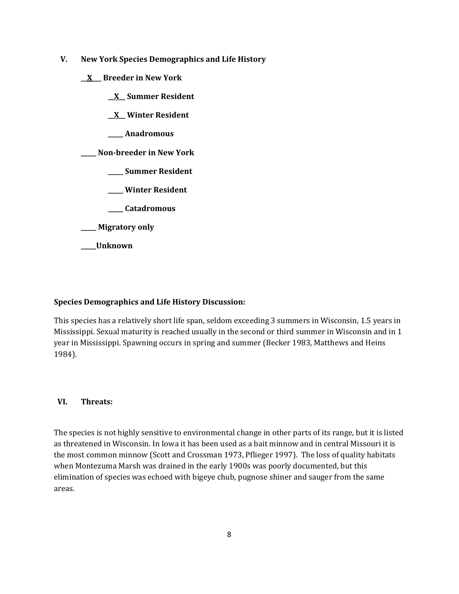- **V. New York Species Demographics and Life History**
	- **\_\_X\_\_\_ Breeder in New York**
		- **\_\_X\_\_ Summer Resident**
		- **\_\_X\_\_ Winter Resident**
		- **\_\_\_\_\_ Anadromous**

**\_\_\_\_\_ Non-breeder in New York**

- **\_\_\_\_\_ Summer Resident**
- **\_\_\_\_\_ Winter Resident**
- **\_\_\_\_\_ Catadromous**
- **\_\_\_\_\_ Migratory only**
- **\_\_\_\_\_Unknown**

# **Species Demographics and Life History Discussion:**

This species has a relatively short life span, seldom exceeding 3 summers in Wisconsin, 1.5 years in Mississippi. Sexual maturity is reached usually in the second or third summer in Wisconsin and in 1 year in Mississippi. Spawning occurs in spring and summer (Becker 1983, Matthews and Heins 1984).

### **VI. Threats:**

The species is not highly sensitive to environmental change in other parts of its range, but it is listed as threatened in Wisconsin. In Iowa it has been used as a bait minnow and in central Missouri it is the most common minnow (Scott and Crossman 1973, Pflieger 1997). The loss of quality habitats when Montezuma Marsh was drained in the early 1900s was poorly documented, but this elimination of species was echoed with bigeye chub, pugnose shiner and sauger from the same areas.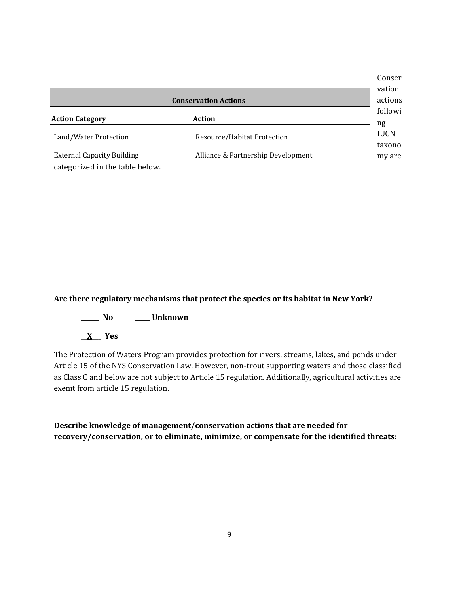|                                   |                                    | Conser      |
|-----------------------------------|------------------------------------|-------------|
|                                   |                                    | vation      |
|                                   | <b>Conservation Actions</b>        | actions     |
|                                   |                                    | followi     |
| <b>Action Category</b>            | <b>Action</b>                      | ng          |
| Land/Water Protection             | Resource/Habitat Protection        | <b>IUCN</b> |
|                                   |                                    | taxono      |
| <b>External Capacity Building</b> | Alliance & Partnership Development | my are      |
|                                   |                                    |             |

categorized in the table below.

# **Are there regulatory mechanisms that protect the species or its habitat in New York?**

- **\_\_\_\_\_\_ No \_\_\_\_\_ Unknown**
- **\_\_X\_\_\_ Yes**

The Protection of Waters Program provides protection for rivers, streams, lakes, and ponds under Article 15 of the NYS Conservation Law. However, non-trout supporting waters and those classified as Class C and below are not subject to Article 15 regulation. Additionally, agricultural activities are exemt from article 15 regulation.

**Describe knowledge of management/conservation actions that are needed for recovery/conservation, or to eliminate, minimize, or compensate for the identified threats:**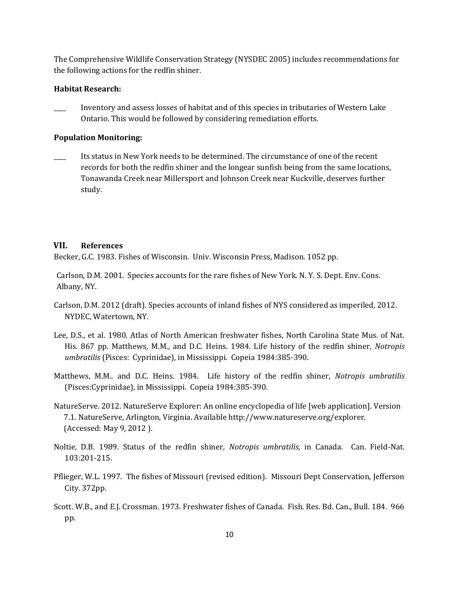The Comprehensive Wildlife Conservation Strategy (NYSDEC 2005) includes recommendations for the following actions for the redfin shiner.

#### **Habitat Research:**

\_\_\_\_ Inventory and assess losses of habitat and of this species in tributaries of Western Lake Ontario. This would be followed by considering remediation efforts.

#### **Population Monitoring:**

\_\_\_\_ Its status in New York needs to be determined. The circumstance of one of the recent records for both the redfin shiner and the longear sunfish being from the same locations, Tonawanda Creek near Millersport and Johnson Creek near Kuckville, deserves further study.

#### **VII. References**

Becker, G.C. 1983. Fishes of Wisconsin. Univ. Wisconsin Press, Madison. 1052 pp.

Carlson, D.M. 2001. Species accounts for the rare fishes of New York. N. Y. S. Dept. Env. Cons. Albany, NY.

- Carlson, D.M. 2012 (draft). Species accounts of inland fishes of NYS considered as imperiled, 2012. NYDEC, Watertown, NY.
- Lee, D.S., et al. 1980. Atlas of North American freshwater fishes, North Carolina State Mus. of Nat. His. 867 pp. Matthews, M.M., and D.C. Heins. 1984. Life history of the redfin shiner, *Notropis umbratilis* (Pisces: Cyprinidae), in Mississippi. Copeia 1984:385-390.
- Matthews, M.M.. and D.C. Heins. 1984. Life history of the redfin shiner, *Notropis umbratilis* (Pisces:Cyprinidae), in Mississippi. Copeia 1984:385-390.
- NatureServe. 2012. NatureServe Explorer: An online encyclopedia of life [web application]. Version 7.1. NatureServe, Arlington, Virginia. Available http://www.natureserve.org/explorer. (Accessed: May 9, 2012 ).
- Noltie, D.B. 1989. Status of the redfin shiner*, Notropis umbratilis,* in Canada. Can. Field-Nat. 103:201-215.
- Pflieger, W.L. 1997. The fishes of Missouri (revised edition). Missouri Dept Conservation, Jefferson City. 372pp.
- Scott. W.B., and E.J. Crossman. 1973. Freshwater fishes of Canada. Fish. Res. Bd. Can., Bull. 184. 966 pp.